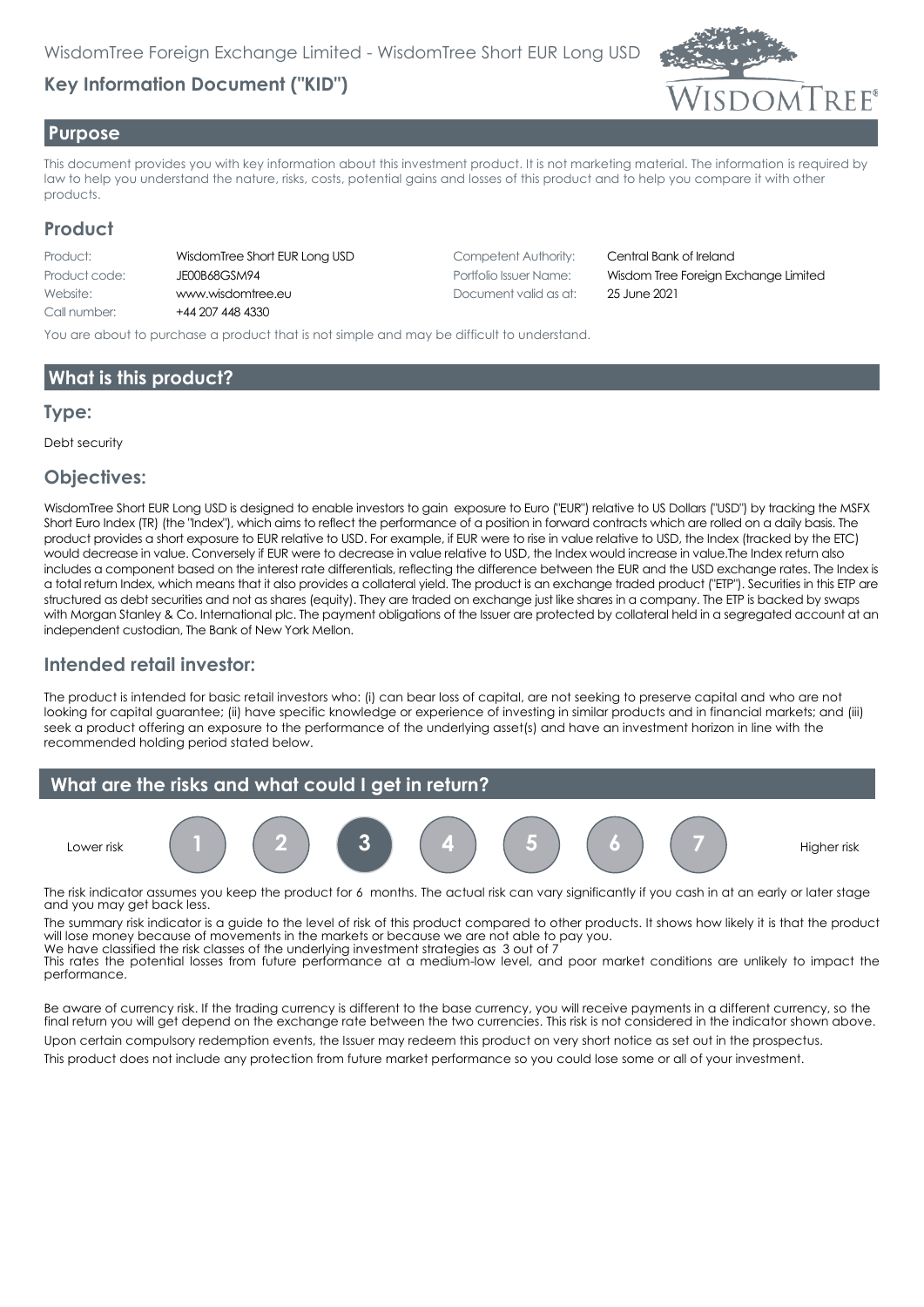# **Key Information Document ("KID")**



#### **Purpose**

This document provides you with key information about this investment product. It is not marketing material. The information is required by law to help you understand the nature, risks, costs, potential gains and losses of this product and to help you compare it with other products.

#### **Product**

| WisdomTree Short |
|------------------|
| JE00B68GSM94     |
| www.wisdomtree.  |
| +44 207 448 4330 |
|                  |

**FUR Long USD** Competent Authority: Central Bank of Ireland Website: www.wisdomtree.eu Document valid as at: 25 June 2021

Portfolio Issuer Name: **Wisdom Tree Foreign Exchange Limited** 

You are about to purchase a product that is not simple and may be difficult to understand.

## **What is this product?**

#### **Type:**

Debt security

#### **Objectives:**

WisdomTree Short EUR Long USD is designed to enable investors to gain exposure to Euro ("EUR") relative to US Dollars ("USD") by tracking the MSFX Short Euro Index (TR) (the "Index"), which aims to reflect the performance of a position in forward contracts which are rolled on a daily basis. The product provides a short exposure to EUR relative to USD. For example, if EUR were to rise in value relative to USD, the Index (tracked by the ETC) would decrease in value. Conversely if EUR were to decrease in value relative to USD, the Index would increase in value.The Index return also includes a component based on the interest rate differentials, reflecting the difference between the EUR and the USD exchange rates. The Index is a total return Index, which means that it also provides a collateral yield. The product is an exchange traded product ("ETP"). Securities in this ETP are structured as debt securities and not as shares (equity). They are traded on exchange just like shares in a company. The ETP is backed by swaps with Morgan Stanley & Co. International plc. The payment obligations of the Issuer are protected by collateral held in a segregated account at an independent custodian, The Bank of New York Mellon.

#### **Intended retail investor:**

The product is intended for basic retail investors who: (i) can bear loss of capital, are not seeking to preserve capital and who are not looking for capital guarantee; (ii) have specific knowledge or experience of investing in similar products and in financial markets; and (iii) seek a product offering an exposure to the performance of the underlying asset(s) and have an investment horizon in line with the recommended holding period stated below.



The risk indicator assumes you keep the product for 6 months. The actual risk can vary significantly if you cash in at an early or later stage and you may get back less.

The summary risk indicator is a guide to the level of risk of this product compared to other products. It shows how likely it is that the product will lose money because of movements in the markets or because we are not able to pay you. We have classified the risk classes of the underlying investment strategies as 3 out of 7

This rates the potential losses from future performance at a medium-low level, and poor market conditions are unlikely to impact the performance.

Be aware of currency risk. If the trading currency is different to the base currency, you will receive payments in a different currency, so the final return you will get depend on the exchange rate between the two currencies. This risk is not considered in the indicator shown above.

Upon certain compulsory redemption events, the Issuer may redeem this product on very short notice as set out in the prospectus.

This product does not include any protection from future market performance so you could lose some or all of your investment.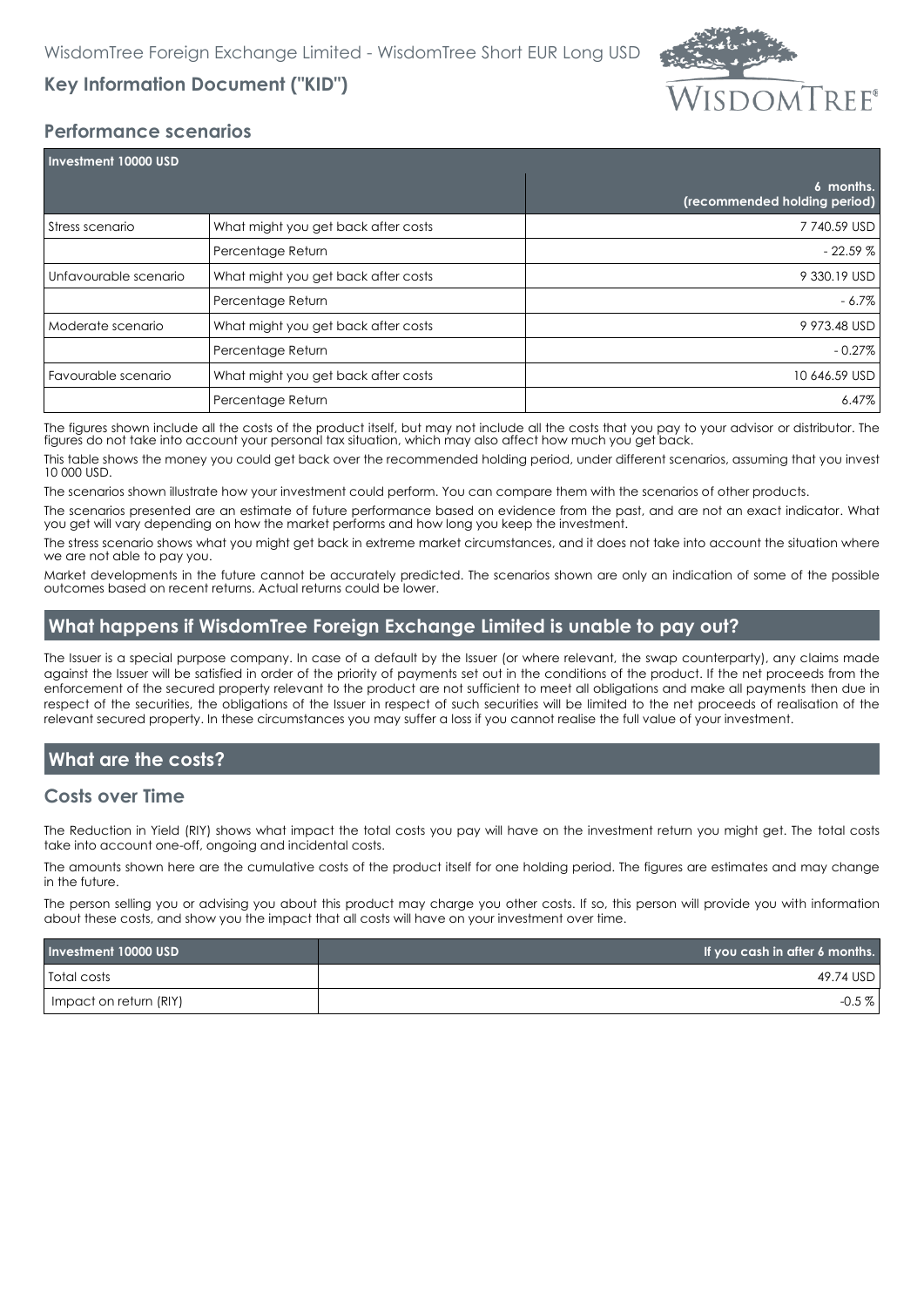

# **Key Information Document ("KID")**

#### **Performance scenarios**

| Investment 10000 USD  |                                     |                                           |  |
|-----------------------|-------------------------------------|-------------------------------------------|--|
|                       |                                     | 6 months.<br>(recommended holding period) |  |
| Stress scenario       | What might you get back after costs | 7 740.59 USD                              |  |
|                       | Percentage Return                   | $-22.59%$                                 |  |
| Unfavourable scenario | What might you get back after costs | 9 330.19 USD                              |  |
|                       | Percentage Return                   | $-6.7\%$                                  |  |
| Moderate scenario     | What might you get back after costs | 9 973.48 USD                              |  |
|                       | Percentage Return                   | $-0.27\%$                                 |  |
| Favourable scenario   | What might you get back after costs | 10 646.59 USD                             |  |
|                       | Percentage Return                   | $6.47\%$                                  |  |

The figures shown include all the costs of the product itself, but may not include all the costs that you pay to your advisor or distributor. The figures do not take into account your personal tax situation, which may also affect how much you get back.

This table shows the money you could get back over the recommended holding period, under different scenarios, assuming that you invest 10 000 USD.

The scenarios shown illustrate how your investment could perform. You can compare them with the scenarios of other products.

The scenarios presented are an estimate of future performance based on evidence from the past, and are not an exact indicator. What you get will vary depending on how the market performs and how long you keep the investment.

The stress scenario shows what you might get back in extreme market circumstances, and it does not take into account the situation where we are not able to pay you.

Market developments in the future cannot be accurately predicted. The scenarios shown are only an indication of some of the possible outcomes based on recent returns. Actual returns could be lower.

## **What happens if WisdomTree Foreign Exchange Limited is unable to pay out?**

The Issuer is a special purpose company. In case of a default by the Issuer (or where relevant, the swap counterparty), any claims made against the Issuer will be satisfied in order of the priority of payments set out in the conditions of the product. If the net proceeds from the enforcement of the secured property relevant to the product are not sufficient to meet all obligations and make all payments then due in respect of the securities, the obligations of the Issuer in respect of such securities will be limited to the net proceeds of realisation of the relevant secured property. In these circumstances you may suffer a loss if you cannot realise the full value of your investment.

## **What are the costs?**

#### **Costs over Time**

The Reduction in Yield (RIY) shows what impact the total costs you pay will have on the investment return you might get. The total costs take into account one-off, ongoing and incidental costs.

The amounts shown here are the cumulative costs of the product itself for one holding period. The figures are estimates and may change in the future.

The person selling you or advising you about this product may charge you other costs. If so, this person will provide you with information about these costs, and show you the impact that all costs will have on your investment over time.

| Investment 10000 USD   | If you cash in after 6 months. |
|------------------------|--------------------------------|
| <b>Total costs</b>     | 49.74 USD                      |
| Impact on return (RIY) | $-0.5\%$                       |